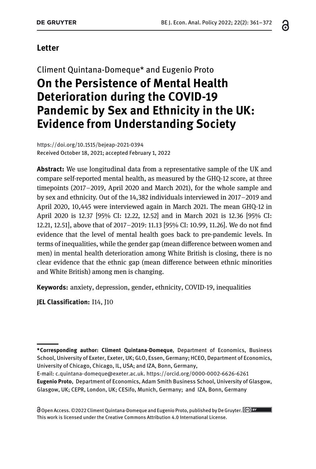#### **Letter**

## Climent Quintana-Domeque\* and Eugenio Proto **On the Persistence of Mental Health Deterioration during the COVID-19 Pandemic by Sex and Ethnicity in the UK: Evidence from Understanding Society**

<https://doi.org/10.1515/bejeap-2021-0394> Received October 18, 2021; accepted February 1, 2022

**Abstract:** We use longitudinal data from a representative sample of the UK and compare self-reported mental health, as measured by the GHQ-12 score, at three timepoints (2017–2019, April 2020 and March 2021), for the whole sample and by sex and ethnicity. Out of the 14,382 individuals interviewed in 2017–2019 and April 2020, 10,445 were interviewed again in March 2021. The mean GHQ-12 in April 2020 is 12.37 [95% CI: 12.22, 12.52] and in March 2021 is 12.36 [95% CI: 12.21, 12.51], above that of 2017–2019: 11.13 [95% CI: 10.99, 11.26]. We do not find evidence that the level of mental health goes back to pre-pandemic levels. In terms of inequalities, while the gender gap (mean difference between women and men) in mental health deterioration among White British is closing, there is no clear evidence that the ethnic gap (mean difference between ethnic minorities and White British) among men is changing.

**Keywords:** anxiety, depression, gender, ethnicity, COVID-19, inequalities

**JEL Classification:** I14, J10

O Open Access. ©2022 Climent Quintana-Domeque and Eugenio Proto, published by De Gruyter. <sup>CG) BY</sup> This work is licensed under the Creative Commons Attribution 4.0 International License.

**<sup>\*</sup>Corresponding author: Climent Quintana-Domeque**, Department of Economics, Business School, University of Exeter, Exeter, UK; GLO, Essen, Germany; HCEO, Department of Economics, University of Chicago, Chicago, IL, USA; and IZA, Bonn, Germany,

E-mail: [c.quintana-domeque@exeter.ac.uk.](mailto:c.quintana-domeque@exeter.ac.uk) <https://orcid.org/0000-0002-6626-6261> **Eugenio Proto**, Department of Economics, Adam Smith Business School, University of Glasgow, Glasgow, UK; CEPR, London, UK; CESifo, Munich, Germany; and IZA, Bonn, Germany

ဥ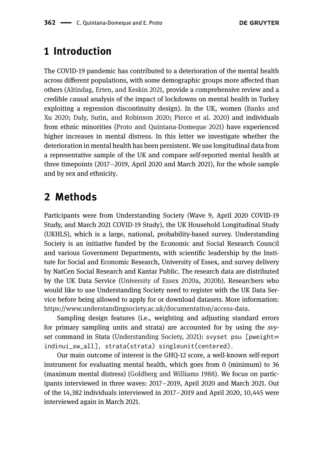#### **1 Introduction**

The COVID-19 pandemic has contributed to a deterioration of the mental health across different populations, with some demographic groups more affected than others [\(Altindag, Erten, and Keskin 2021,](#page-11-0) provide a comprehensive review and a credible causal analysis of the impact of lockdowns on mental health in Turkey [exploiting a regression discontinuity design\). In the UK, women \(Banks and](#page-11-1) Xu 2020; [Daly, Sutin, and Robinson 2020;](#page-11-2) [Pierce et al. 2020\)](#page-11-3) and individuals from ethnic minorities [\(Proto and Quintana-Domeque 2021\)](#page-11-4) have experienced higher increases in mental distress. In this letter we investigate whether the deterioration in mental health has been persistent. We use longitudinal data from a representative sample of the UK and compare self-reported mental health at three timepoints (2017–2019, April 2020 and March 2021), for the whole sample and by sex and ethnicity.

#### **2 Methods**

Participants were from Understanding Society (Wave 9, April 2020 COVID-19 Study, and March 2021 COVID-19 Study), the UK Household Longitudinal Study (UKHLS), which is a large, national, probability-based survey. Understanding Society is an initiative funded by the Economic and Social Research Council and various Government Departments, with scientific leadership by the Institute for Social and Economic Research, University of Essex, and survey delivery by NatCen Social Research and Kantar Public. The research data are distributed by the UK Data Service [\(University of Essex 2020a,](#page-11-5) [2020b\)](#page-11-6). Researchers who would like to use Understanding Society need to register with the UK Data Service before being allowed to apply for or download datasets. More information: [https://www.understandingsociety.ac.uk/documentation/access-data.](https://www.understandingsociety.ac.uk/documentation/access-data)

Sampling design features (i.e., weighting and adjusting standard errors for primary sampling units and strata) are accounted for by using the *svyset* command in Stata [\(Understanding Society, 2021\)](#page-11-7): svyset psu [pweight= indinui\_xw\_all], strata(strata) singleunit(centered).

Our main outcome of interest is the GHQ-12 score, a well-known self-report instrument for evaluating mental health, which goes from 0 (minimum) to 36 (maximum mental distress) [\(Goldberg and Williams 1988\)](#page-11-8). We focus on participants interviewed in three waves: 2017–2019, April 2020 and March 2021. Out of the 14,382 individuals interviewed in 2017–2019 and April 2020, 10,445 were interviewed again in March 2021.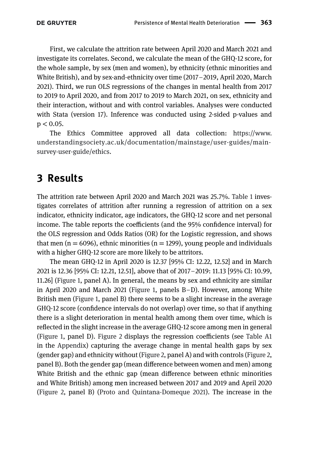First, we calculate the attrition rate between April 2020 and March 2021 and investigate its correlates. Second, we calculate the mean of the GHQ-12 score, for the whole sample, by sex (men and women), by ethnicity (ethnic minorities and White British), and by sex-and-ethnicity over time (2017–2019, April 2020, March 2021). Third, we run OLS regressions of the changes in mental health from 2017 to 2019 to April 2020, and from 2017 to 2019 to March 2021, on sex, ethnicity and their interaction, without and with control variables. Analyses were conducted with Stata (version 17). Inference was conducted using 2-sided p-values and p *<* 0.05.

The Ethics Committee approved all data collection: https://www. [understandingsociety.ac.uk/documentation/mainstage/user-guides/main](https://www.understandingsociety.ac.uk/documentation/mainstage/user-guides/main-survey-user-guide/ethics)survey-user-guide/ethics.

### **3 Results**

The attrition rate between April 2020 and March 2021 was 25.7%. [Table 1](#page-3-0) investigates correlates of attrition after running a regression of attrition on a sex indicator, ethnicity indicator, age indicators, the GHQ-12 score and net personal income. The table reports the coefficients (and the 95% confidence interval) for the OLS regression and Odds Ratios (OR) for the Logistic regression, and shows that men ( $n = 6096$ ), ethnic minorities ( $n = 1299$ ), young people and individuals with a higher GHQ-12 score are more likely to be attritors.

The mean GHQ-12 in April 2020 is 12.37 [95% CI: 12.22, 12.52] and in March 2021 is 12.36 [95% CI: 12.21, 12.51], above that of 2017–2019: 11.13 [95% CI: 10.99, 11.26] [\(Figure 1,](#page-4-0) panel A). In general, the means by sex and ethnicity are similar in April 2020 and March 2021 [\(Figure 1,](#page-4-0) panels B–D). However, among White British men [\(Figure 1,](#page-4-0) panel B) there seems to be a slight increase in the average GHQ-12 score (confidence intervals do not overlap) over time, so that if anything there is a slight deterioration in mental health among them over time, which is reflected in the slight increase in the average GHQ-12 score among men in general [\(Figure 1,](#page-4-0) panel D). [Figure 2](#page-5-0) displays the regression coefficients (see [Table A1](#page-7-0) in the [Appendix\)](#page-6-0) capturing the average change in mental health gaps by sex (gender gap) and ethnicity without [\(Figure 2,](#page-5-0) panel A) and with controls [\(Figure 2,](#page-5-0) panel B). Both the gender gap (mean difference between women and men) among White British and the ethnic gap (mean difference between ethnic minorities and White British) among men increased between 2017 and 2019 and April 2020 [\(Figure 2,](#page-5-0) panel B) [\(Proto and Quintana-Domeque 2021\)](#page-11-4). The increase in the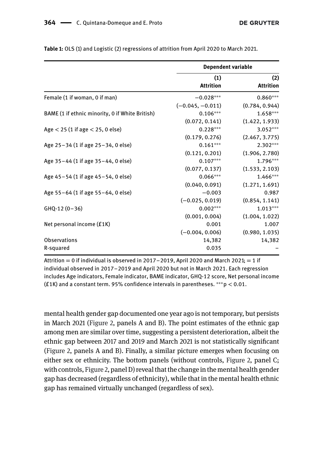|                                                 | <b>Dependent variable</b> |                         |
|-------------------------------------------------|---------------------------|-------------------------|
|                                                 | (1)<br><b>Attrition</b>   | (2)<br><b>Attrition</b> |
| Female (1 if woman, 0 if man)                   | $-0.028***$               | $0.860***$              |
|                                                 | $(-0.045, -0.011)$        | (0.784, 0.944)          |
| BAME (1 if ethnic minority, 0 if White British) | $0.106***$                | $1.658***$              |
|                                                 | (0.072, 0.141)            | (1.422, 1.933)          |
| Age $<$ 25 (1 if age $<$ 25, 0 else)            | $0.228***$                | $3.052***$              |
|                                                 | (0.179, 0.276)            | (2.467, 3.775)          |
| Age 25-34 (1 if age 25-34, 0 else)              | $0.161***$                | $2.302***$              |
|                                                 | (0.121, 0.201)            | (1.906, 2.780)          |
| Age 35-44 (1 if age 35-44, 0 else)              | $0.107***$                | $1.796***$              |
|                                                 | (0.077, 0.137)            | (1.533, 2.103)          |
| Age 45–54 (1 if age 45–54, 0 else)              | $0.066***$                | $1.466***$              |
|                                                 | (0.040, 0.091)            | (1.271, 1.691)          |
| Age 55-64 (1 if age 55-64, 0 else)              | $-0.003$                  | 0.987                   |
|                                                 | $(-0.025, 0.019)$         | (0.854, 1.141)          |
| $GHQ-12(0-36)$                                  | $0.002***$                | $1.013***$              |
|                                                 | (0.001, 0.004)            | (1.004, 1.022)          |
| Net personal income (£1K)                       | 0.001                     | 1.007                   |
|                                                 | $(-0.004, 0.006)$         | (0.980, 1.035)          |
| <b>Observations</b>                             | 14,382                    | 14,382                  |
| R-squared                                       | 0.035                     |                         |

<span id="page-3-0"></span>**Table 1:** OLS (1) and Logistic (2) regressions of attrition from April 2020 to March 2021.

Attrition  $= 0$  if individual is observed in 2017–2019, April 2020 and March 2021;  $= 1$  if individual observed in 2017–2019 and April 2020 but not in March 2021. Each regression includes Age indicators, Female indicator, BAME indicator, GHQ-12 score, Net personal income (£1K) and a constant term. 95% confidence intervals in parentheses. ∗∗∗p *<* 0.01.

mental health gender gap documented one year ago is not temporary, but persists in March 2021 [\(Figure 2,](#page-5-0) panels A and B). The point estimates of the ethnic gap among men are similar over time, suggesting a persistent deterioration, albeit the ethnic gap between 2017 and 2019 and March 2021 is not statistically significant [\(Figure 2,](#page-5-0) panels A and B). Finally, a similar picture emerges when focusing on either sex or ethnicity. The bottom panels (without controls, [Figure 2,](#page-5-0) panel C; with controls, [Figure 2,](#page-5-0) panel D) reveal that the change in the mental health gender gap has decreased (regardless of ethnicity), while that in the mental health ethnic gap has remained virtually unchanged (regardless of sex).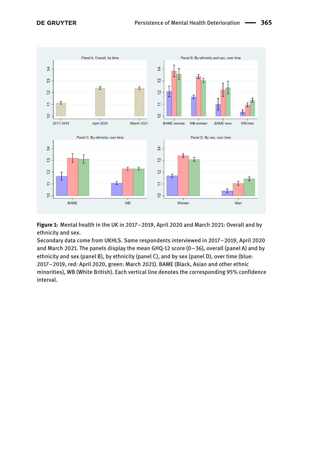<span id="page-4-0"></span>

**Figure 1:** Mental health in the UK in 2017–2019, April 2020 and March 2021: Overall and by ethnicity and sex.

Secondary data come from UKHLS. Same respondents interviewed in 2017–2019, April 2020 and March 2021. The panels display the mean GHQ-12 score (0–36), overall (panel A) and by ethnicity and sex (panel B), by ethnicity (panel C), and by sex (panel D), over time (blue: 2017–2019, red: April 2020, green: March 2021). BAME (Black, Asian and other ethnic minorities), WB (White British). Each vertical line denotes the corresponding 95% confidence interval.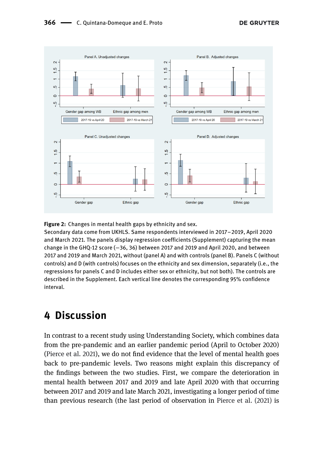<span id="page-5-0"></span>

#### **Figure 2:** Changes in mental health gaps by ethnicity and sex.

Secondary data come from UKHLS. Same respondents interviewed in 2017–2019, April 2020 and March 2021. The panels display regression coefficients (Supplement) capturing the mean change in the GHQ-12 score (−36, 36) between 2017 and 2019 and April 2020, and between 2017 and 2019 and March 2021, without (panel A) and with controls (panel B). Panels C (without controls) and D (with controls) focuses on the ethnicity and sex dimension, separately (i.e., the regressions for panels C and D includes either sex or ethnicity, but not both). The controls are described in the Supplement. Each vertical line denotes the corresponding 95% confidence interval.

#### **4 Discussion**

In contrast to a recent study using Understanding Society, which combines data from the pre-pandemic and an earlier pandemic period (April to October 2020) [\(Pierce et al. 2021\)](#page-11-9), we do not find evidence that the level of mental health goes back to pre-pandemic levels. Two reasons might explain this discrepancy of the findings between the two studies. First, we compare the deterioration in mental health between 2017 and 2019 and late April 2020 with that occurring between 2017 and 2019 and late March 2021, investigating a longer period of time than previous research (the last period of observation in [Pierce et al. \(2021\)](#page-11-9) is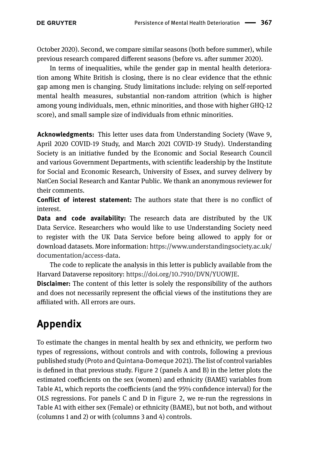October 2020). Second, we compare similar seasons (both before summer), while previous research compared different seasons (before vs. after summer 2020).

In terms of inequalities, while the gender gap in mental health deterioration among White British is closing, there is no clear evidence that the ethnic gap among men is changing. Study limitations include: relying on self-reported mental health measures, substantial non-random attrition (which is higher among young individuals, men, ethnic minorities, and those with higher GHQ-12 score), and small sample size of individuals from ethnic minorities.

**Acknowledgments:** This letter uses data from Understanding Society (Wave 9, April 2020 COVID-19 Study, and March 2021 COVID-19 Study). Understanding Society is an initiative funded by the Economic and Social Research Council and various Government Departments, with scientific leadership by the Institute for Social and Economic Research, University of Essex, and survey delivery by NatCen Social Research and Kantar Public. We thank an anonymous reviewer for their comments.

**Conflict of interest statement:** The authors state that there is no conflict of interest.

**Data and code availability:** The research data are distributed by the UK Data Service. Researchers who would like to use Understanding Society need to register with the UK Data Service before being allowed to apply for or download datasets. More information: [https://www.understandingsociety.ac.uk/](https://www.understandingsociety.ac.uk/documentation/access-data) documentation/access-data.

The code to replicate the analysis in this letter is publicly available from the Harvard Dataverse repository: [https://doi.org/10.7910/DVN/YUOWJE.](https://doi.org/10.7910/DVN/YUOWJE)

**Disclaimer:** The content of this letter is solely the responsibility of the authors and does not necessarily represent the official views of the institutions they are affiliated with. All errors are ours.

# <span id="page-6-0"></span>**Appendix**

To estimate the changes in mental health by sex and ethnicity, we perform two types of regressions, without controls and with controls, following a previous published study ([Proto and Quintana-Domeque 2021](#page-11-4)). The list of control variables is defined in that previous study. [Figure 2](#page-5-0) (panels A and B) in the letter plots the estimated coefficients on the sex (women) and ethnicity (BAME) variables from [Table A1](#page-7-0), which reports the coefficients (and the 95% confidence interval) for the OLS regressions. For panels C and D in [Figure 2](#page-5-0), we re-run the regressions in [Table A1](#page-7-0) with either sex (Female) or ethnicity (BAME), but not both, and without (columns 1 and 2) or with (columns 3 and 4) controls.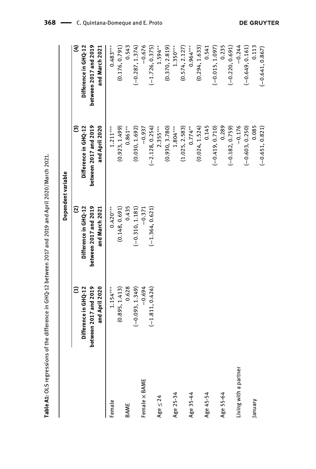|                       |                                                                      |                                                                                             | Dependent variable                                                   |                                                                      |
|-----------------------|----------------------------------------------------------------------|---------------------------------------------------------------------------------------------|----------------------------------------------------------------------|----------------------------------------------------------------------|
|                       | between 2017 and 2019<br>and April 2020<br>Difference in GHQ-12<br>Ξ | between 2017 and 2019<br>$\widehat{\mathfrak{S}}$<br>Difference in GHQ-12<br>and March 2021 | between 2017 and 2019<br>and April 2020<br>ම<br>Difference in GHQ-12 | E<br>between 2017 and 2019<br>Difference in GHQ-12<br>and March 2021 |
| Female                | (0.895, 1.413)<br>$1.154***$                                         | (0.148, 0.691)<br>$0.420***$                                                                | $1.211***$<br>(0.923, 1.499)                                         | (0.176, 0.791)<br>$0.483***$                                         |
| BAME                  | 0.628                                                                | 0.435                                                                                       | $0.861***$                                                           | 0.543                                                                |
|                       | $(-0.093, 1.349)$                                                    | $(-0.310, 1.181)$                                                                           | (0.030, 1.692)                                                       | $(-0.287, 1.374)$                                                    |
| Female × BAME         | $-0.694$                                                             | $-0.371$                                                                                    | $-0.937$                                                             | $-0.676$                                                             |
|                       | $(-1.811, 0.424)$                                                    | $(-1.364, 0.621)$                                                                           | $(-2.128, 0.254)$                                                    | $(-1.726, 0.375)$                                                    |
| Age $\leq$ 24         |                                                                      |                                                                                             | $2.355***$                                                           | $1.594***$                                                           |
|                       |                                                                      |                                                                                             | (0.930, 3.780)                                                       | (0.370, 2.819)                                                       |
| Age 25-34             |                                                                      |                                                                                             | $1.804***$                                                           | $1.350***$                                                           |
|                       |                                                                      |                                                                                             | (1.025, 2.583)                                                       | (0.574, 2.127)                                                       |
| Age 35-44             |                                                                      |                                                                                             | $0.774***$                                                           | $0.964***$                                                           |
|                       |                                                                      |                                                                                             | (0.024, 1.524)                                                       | (0.294, 1.633)                                                       |
| Age 45-54             |                                                                      |                                                                                             | 0.145                                                                | 0.541                                                                |
|                       |                                                                      |                                                                                             | $(-0.419, 0.710)$                                                    | $(-0.015, 1.097)$                                                    |
| Age 55-64             |                                                                      |                                                                                             | 0.289                                                                | 0.235                                                                |
|                       |                                                                      |                                                                                             | $(-0.182, 0.759)$                                                    | $(-0.220, 0.691)$                                                    |
| Living with a partner |                                                                      |                                                                                             | $-0.176$                                                             | $-0.244$                                                             |
|                       |                                                                      |                                                                                             | $(-0.603, 0.250)$                                                    | $(-0.649, 0.161)$                                                    |
| January               |                                                                      |                                                                                             | 0.085                                                                | 0.113                                                                |
|                       |                                                                      |                                                                                             | $(-0.651, 0.821)$                                                    | $(-0.641, 0.867)$                                                    |

<span id="page-7-0"></span>Table A1: OLS regressions of the difference in GHQ-12 between 2017 and 2019 and April 2020/March 2021. **Table A1:** OLS regressions of the difference in GHQ-12 between 2017 and 2019 and April 2020/March 2021.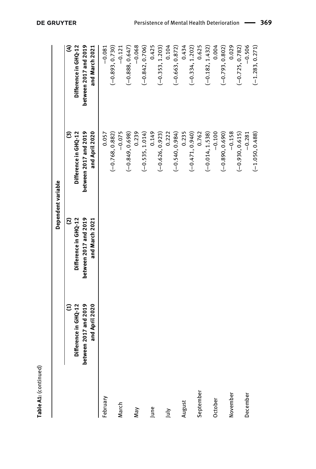| ۱ |
|---|
|   |

|           |                                        |                                         | Dependent variable                      |                                         |
|-----------|----------------------------------------|-----------------------------------------|-----------------------------------------|-----------------------------------------|
|           | Ξ                                      | $\mathfrak{S}$                          | ම                                       | E                                       |
|           | Difference in GHQ-12                   | Difference in GHQ-12                    | Difference in GHQ-12                    | Difference in GHQ-12                    |
|           | etween 2017 and 2019<br>and April 2020 | between 2017 and 2019<br>and March 2021 | between 2017 and 2019<br>and April 2020 | between 2017 and 2019<br>and March 2021 |
| February  |                                        |                                         | 0.057                                   | $-0.081$                                |
|           |                                        |                                         | $(-0.768, 0.882)$                       | $(-0.893, 0.730)$                       |
| March     |                                        |                                         | $-0.075$                                | $-0.121$                                |
|           |                                        |                                         | $(-0.849, 0.698)$                       | $(-0.888, 0.647)$                       |
| May       |                                        |                                         | 0.239                                   | $-0.068$                                |
|           |                                        |                                         | $(-0.535, 1.014)$                       | $(-0.842, 0.706)$                       |
| June      |                                        |                                         | 0.149                                   | 0.425                                   |
|           |                                        |                                         | $(-0.626, 0.923)$                       | $(-0.353, 1.203)$                       |
| λη        |                                        |                                         | 0.222                                   | 0.104                                   |
|           |                                        |                                         | $(-0.540, 0.984)$                       | $(-0.663, 0.872)$                       |
| August    |                                        |                                         | 0.235                                   | 0.434                                   |
|           |                                        |                                         | $(-0.471, 0.940)$                       | $(-0.334, 1.202)$                       |
| September |                                        |                                         | 0.762                                   | 0.625                                   |
|           |                                        |                                         | $(-0.014, 1.538)$                       | $(-0.182, 1.432)$                       |
| October   |                                        |                                         | $-0.100$                                | 0.004                                   |
|           |                                        |                                         | $(-0.890, 0.690)$                       | $(-0.793, 0.802)$                       |
| November  |                                        |                                         | $-0.158$                                | 0.029                                   |
|           |                                        |                                         | $(-0.930, 0.615)$                       | $(-0.725, 0.782)$                       |
| December  |                                        |                                         | $-0.281$                                | $-0.506$                                |
|           |                                        |                                         | $(-1.050, 0.488)$                       | $(-1.283, 0.271)$                       |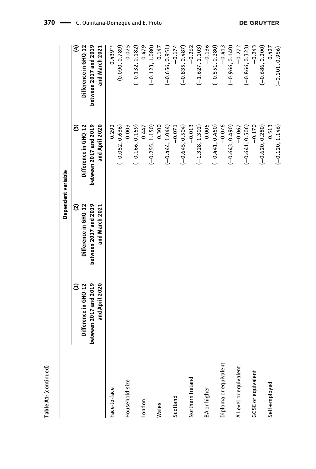|                           |                                                                  |                                                                         | Dependent variable                                 |                                                    |
|---------------------------|------------------------------------------------------------------|-------------------------------------------------------------------------|----------------------------------------------------|----------------------------------------------------|
|                           | between 2017 and 2019<br>$\widehat{\Xi}$<br>Difference in GHQ-12 | between 2017 and 2019<br>$\mathbf{\widehat{c}}$<br>Difference in GHQ-12 | between 2017 and 2019<br>Difference in GHQ-12<br>ල | E<br>between 2017 and 2019<br>Difference in GHQ-12 |
|                           | and April 2020                                                   | and March 2021                                                          | and April 2020                                     | and March 2021                                     |
| Face-to-face              |                                                                  |                                                                         | 0.292                                              | $0.439***$                                         |
|                           |                                                                  |                                                                         | $(-0.052, 0.636)$                                  | (0.090, 0.789)                                     |
| Household size            |                                                                  |                                                                         | $-0.003$                                           | 0.025                                              |
|                           |                                                                  |                                                                         | $(-0.166, 0.159)$                                  | $(-0.132, 0.182)$                                  |
| London                    |                                                                  |                                                                         | 0.447                                              | 0.479                                              |
|                           |                                                                  |                                                                         | $(-0.255, 1.150)$                                  | $(-0.123, 1.080)$                                  |
| Wales                     |                                                                  |                                                                         | 0.300                                              | 0.147                                              |
|                           |                                                                  |                                                                         | $(-0.444, 1.044)$                                  | $(-0.656, 0.951)$                                  |
| Scotland                  |                                                                  |                                                                         | $-0.071$                                           | $-0.174$                                           |
|                           |                                                                  |                                                                         | $(-0.645, 0.504)$                                  | $(-0.835, 0.487)$                                  |
| Northern Ireland          |                                                                  |                                                                         | $-0.013$                                           | $-0.262$                                           |
|                           |                                                                  |                                                                         | $(-1.328, 1.302)$                                  | $(-1.627, 1.103)$                                  |
| BA or higher              |                                                                  |                                                                         | 0.005                                              | $-0.136$                                           |
|                           |                                                                  |                                                                         | $(-0.441, 0.450)$                                  | $(-0.551, 0.280)$                                  |
| Diploma or equivalent     |                                                                  |                                                                         | $-0.076$                                           | $-0.413$                                           |
|                           |                                                                  |                                                                         | $(-0.643, 0.490)$                                  | $(-0.966, 0.140)$                                  |
| A Level or equivalent     |                                                                  |                                                                         | $-0.067$                                           | $-0.272$                                           |
|                           |                                                                  |                                                                         | $(-0.641, 0.506)$                                  | $(-0.866, 0.323)$                                  |
| <b>GCSE</b> or equivalent |                                                                  |                                                                         | $-0.170$                                           | $-0.243$                                           |
|                           |                                                                  |                                                                         | $(-0.620, 0.280)$                                  | $(-0.686, 0.200)$                                  |
| Self-employed             |                                                                  |                                                                         | 0.513                                              | 0.427                                              |
|                           |                                                                  |                                                                         | $(-0.120, 1.146)$                                  | $(-0.101, 0.956)$                                  |

Table A1: (continued) **Table A1:** (continued)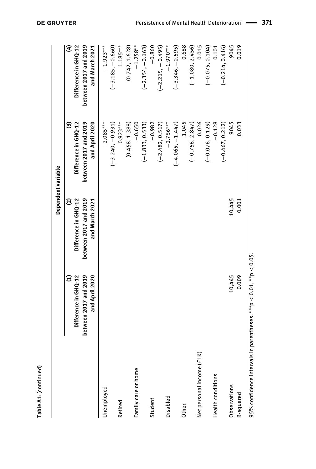|                             |                                                                               |                                                                      | Dependent variable                                                   |                                                                      |
|-----------------------------|-------------------------------------------------------------------------------|----------------------------------------------------------------------|----------------------------------------------------------------------|----------------------------------------------------------------------|
|                             | between 2017 and 2019<br>and April 2020<br>Difference in GHQ-12<br>Ξ          | between 2017 and 2019<br>ව<br>Difference in GHQ-12<br>and March 2021 | between 2017 and 2019<br>Difference in GHQ-12<br>and April 2020<br>ම | E<br>between 2017 and 2019<br>Difference in GHQ-12<br>and March 2021 |
| Unemployed                  |                                                                               |                                                                      | $-2.085***$                                                          | $-1.923***$                                                          |
| Retired                     |                                                                               |                                                                      | $(-3.240, -0.931)$<br>$0.923***$                                     | $(-3.185, -0.660)$<br>$1.185***$                                     |
|                             |                                                                               |                                                                      | (0.458, 1.388)                                                       | (0.742, 1.628)                                                       |
| Family care or home         |                                                                               |                                                                      | $-0.650$                                                             | $-1.258***$                                                          |
|                             |                                                                               |                                                                      | $(-1.833, 0.533)$                                                    | $(-2.354, -0.163)$                                                   |
| Student                     |                                                                               |                                                                      | $-0.982$                                                             | $-0.860$                                                             |
|                             |                                                                               |                                                                      | $(-2.482, 0.517)$                                                    | $(-2.215, -0.495)$                                                   |
| Disabled                    |                                                                               |                                                                      | $-2.756***$                                                          | $-1.970***$                                                          |
|                             |                                                                               |                                                                      | $(-4.065, -1.447)$                                                   | $(-3.346, -0.595)$                                                   |
| Other                       |                                                                               |                                                                      | 1.045                                                                | 0.688                                                                |
|                             |                                                                               |                                                                      | $(-0.756, 2.847)$                                                    | $(-1.080, 2.456)$                                                    |
| (£1)<br>Net personal income |                                                                               |                                                                      | 0.026                                                                | 0.015                                                                |
|                             |                                                                               |                                                                      | $(-0.076, 0.129)$                                                    | $(-0.075, 0.104)$                                                    |
| Health conditions           |                                                                               |                                                                      | $-0.128$                                                             | 0.101                                                                |
|                             |                                                                               |                                                                      | $(-0.467, 0.212)$                                                    | $(-0.214, 0.416)$                                                    |
| Observations                | 10,445                                                                        | 10,445                                                               | 9045                                                                 | 9045                                                                 |
| R-squared                   | 0.009                                                                         | 0.001                                                                | 0.033                                                                | 0.019                                                                |
|                             | 95% confidence intervals in parentheses. $^{***}$ p < 0.01, $^{**}$ p < 0.05. |                                                                      |                                                                      |                                                                      |

**DE GRUYTER** 

**Table A1:** (continued)

Table A1: (continued)